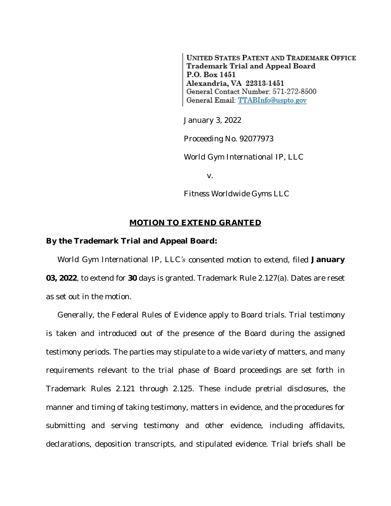**UNITED STATES PATENT AND TRADEMARK OFFICE** Trademark Trial and Appeal Board P.O. Box 1451 Alexandria, VA 22313-1451 General Contact Number: 571-272-8500 General Email: TTABInfo@uspto.gov

January 3, 2022

Proceeding No. 92077973

*World Gym International IP, LLC*

v.

*Fitness Worldwide Gyms LLC*

## **MOTION TO EXTEND GRANTED**

## **By the Trademark Trial and Appeal Board:**

*World Gym International IP, LLC's* consented motion to extend, filed **January 03, 2022**, to extend for **30** days is granted. Trademark Rule 2.127(a). Dates are reset as set out in the motion.

Generally, the Federal Rules of Evidence apply to Board trials. Trial testimony is taken and introduced out of the presence of the Board during the assigned testimony periods. The parties may stipulate to a wide variety of matters, and many requirements relevant to the trial phase of Board proceedings are set forth in Trademark Rules 2.121 through 2.125. These include pretrial disclosures, the manner and timing of taking testimony, matters in evidence, and the procedures for submitting and serving testimony and other evidence, including affidavits, declarations, deposition transcripts, and stipulated evidence. Trial briefs shall be